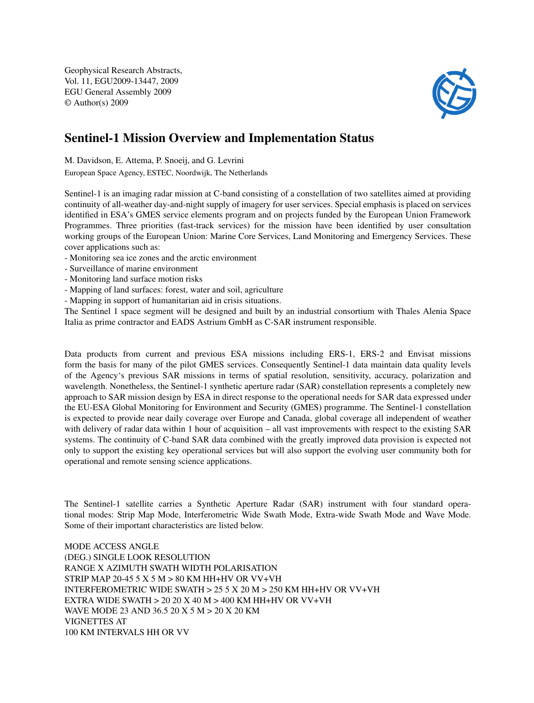Geophysical Research Abstracts, Vol. 11, EGU2009-13447, 2009 EGU General Assembly 2009 © Author(s) 2009



## Sentinel-1 Mission Overview and Implementation Status

M. Davidson, E. Attema, P. Snoeij, and G. Levrini

European Space Agency, ESTEC, Noordwijk, The Netherlands

Sentinel-1 is an imaging radar mission at C-band consisting of a constellation of two satellites aimed at providing continuity of all-weather day-and-night supply of imagery for user services. Special emphasis is placed on services identified in ESA's GMES service elements program and on projects funded by the European Union Framework Programmes. Three priorities (fast-track services) for the mission have been identified by user consultation working groups of the European Union: Marine Core Services, Land Monitoring and Emergency Services. These cover applications such as:

- Monitoring sea ice zones and the arctic environment
- Surveillance of marine environment
- Monitoring land surface motion risks
- Mapping of land surfaces: forest, water and soil, agriculture
- Mapping in support of humanitarian aid in crisis situations.

The Sentinel 1 space segment will be designed and built by an industrial consortium with Thales Alenia Space Italia as prime contractor and EADS Astrium GmbH as C-SAR instrument responsible.

Data products from current and previous ESA missions including ERS-1, ERS-2 and Envisat missions form the basis for many of the pilot GMES services. Consequently Sentinel-1 data maintain data quality levels of the Agency's previous SAR missions in terms of spatial resolution, sensitivity, accuracy, polarization and wavelength. Nonetheless, the Sentinel-1 synthetic aperture radar (SAR) constellation represents a completely new approach to SAR mission design by ESA in direct response to the operational needs for SAR data expressed under the EU-ESA Global Monitoring for Environment and Security (GMES) programme. The Sentinel-1 constellation is expected to provide near daily coverage over Europe and Canada, global coverage all independent of weather with delivery of radar data within 1 hour of acquisition – all vast improvements with respect to the existing SAR systems. The continuity of C-band SAR data combined with the greatly improved data provision is expected not only to support the existing key operational services but will also support the evolving user community both for operational and remote sensing science applications.

The Sentinel-1 satellite carries a Synthetic Aperture Radar (SAR) instrument with four standard operational modes: Strip Map Mode, Interferometric Wide Swath Mode, Extra-wide Swath Mode and Wave Mode. Some of their important characteristics are listed below.

MODE ACCESS ANGLE (DEG.) SINGLE LOOK RESOLUTION RANGE X AZIMUTH SWATH WIDTH POLARISATION STRIP MAP 20-45 5 X 5 M  $> 80$  KM HH+HV OR VV+VH INTERFEROMETRIC WIDE SWATH  $> 25.5$  X 20 M  $> 250$  KM HH+HV OR VV+VH EXTRA WIDE SWATH  $> 20$  20 X 40 M  $>$  400 KM HH+HV OR VV+VH WAVE MODE 23 AND 36.5 20 X 5 M > 20 X 20 KM VIGNETTES AT 100 KM INTERVALS HH OR VV